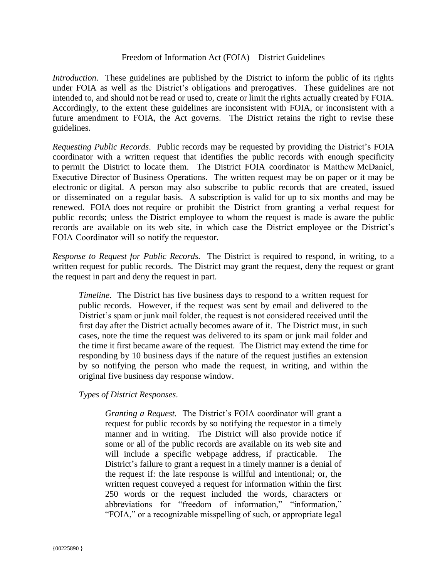## Freedom of Information Act (FOIA) – District Guidelines

*Introduction*. These guidelines are published by the District to inform the public of its rights under FOIA as well as the District's obligations and prerogatives. These guidelines are not intended to, and should not be read or used to, create or limit the rights actually created by FOIA. Accordingly, to the extent these guidelines are inconsistent with FOIA, or inconsistent with a future amendment to FOIA, the Act governs. The District retains the right to revise these guidelines.

*Requesting Public Records*. Public records may be requested by providing the District's FOIA coordinator with a written request that identifies the public records with enough specificity to permit the District to locate them. The District FOIA coordinator is Matthew McDaniel, Executive Director of Business Operations. The written request may be on paper or it may be electronic or digital. A person may also subscribe to public records that are created, issued or disseminated on a regular basis. A subscription is valid for up to six months and may be renewed. FOIA does not require or prohibit the District from granting a verbal request for public records; unless the District employee to whom the request is made is aware the public records are available on its web site, in which case the District employee or the District's FOIA Coordinator will so notify the requestor.

*Response to Request for Public Records.* The District is required to respond, in writing, to a written request for public records. The District may grant the request, deny the request or grant the request in part and deny the request in part.

*Timeline*. The District has five business days to respond to a written request for public records. However, if the request was sent by email and delivered to the District's spam or junk mail folder, the request is not considered received until the first day after the District actually becomes aware of it. The District must, in such cases, note the time the request was delivered to its spam or junk mail folder and the time it first became aware of the request. The District may extend the time for responding by 10 business days if the nature of the request justifies an extension by so notifying the person who made the request, in writing, and within the original five business day response window.

## *Types of District Responses*.

*Granting a Request.* The District's FOIA coordinator will grant a request for public records by so notifying the requestor in a timely manner and in writing. The District will also provide notice if some or all of the public records are available on its web site and will include a specific webpage address, if practicable. The District's failure to grant a request in a timely manner is a denial of the request if: the late response is willful and intentional; or, the written request conveyed a request for information within the first 250 words or the request included the words, characters or abbreviations for "freedom of information," "information," "FOIA," or a recognizable misspelling of such, or appropriate legal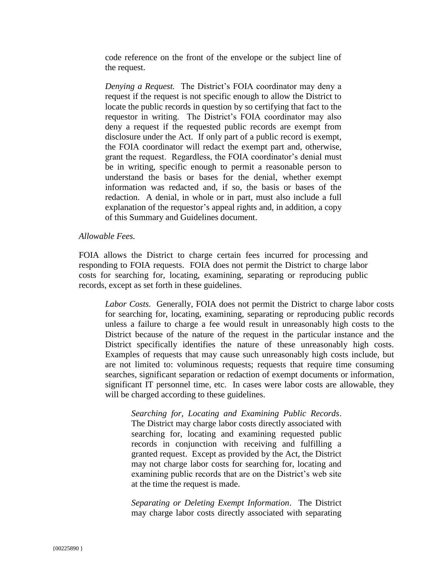code reference on the front of the envelope or the subject line of the request.

*Denying a Request.* The District's FOIA coordinator may deny a request if the request is not specific enough to allow the District to locate the public records in question by so certifying that fact to the requestor in writing. The District's FOIA coordinator may also deny a request if the requested public records are exempt from disclosure under the Act. If only part of a public record is exempt, the FOIA coordinator will redact the exempt part and, otherwise, grant the request. Regardless, the FOIA coordinator's denial must be in writing, specific enough to permit a reasonable person to understand the basis or bases for the denial, whether exempt information was redacted and, if so, the basis or bases of the redaction. A denial, in whole or in part, must also include a full explanation of the requestor's appeal rights and, in addition, a copy of this Summary and Guidelines document.

## *Allowable Fees.*

FOIA allows the District to charge certain fees incurred for processing and responding to FOIA requests. FOIA does not permit the District to charge labor costs for searching for, locating, examining, separating or reproducing public records, except as set forth in these guidelines.

*Labor Costs.* Generally, FOIA does not permit the District to charge labor costs for searching for, locating, examining, separating or reproducing public records unless a failure to charge a fee would result in unreasonably high costs to the District because of the nature of the request in the particular instance and the District specifically identifies the nature of these unreasonably high costs. Examples of requests that may cause such unreasonably high costs include, but are not limited to: voluminous requests; requests that require time consuming searches, significant separation or redaction of exempt documents or information, significant IT personnel time, etc. In cases were labor costs are allowable, they will be charged according to these guidelines.

*Searching for, Locating and Examining Public Records*. The District may charge labor costs directly associated with searching for, locating and examining requested public records in conjunction with receiving and fulfilling a granted request. Except as provided by the Act, the District may not charge labor costs for searching for, locating and examining public records that are on the District's web site at the time the request is made.

*Separating or Deleting Exempt Information*. The District may charge labor costs directly associated with separating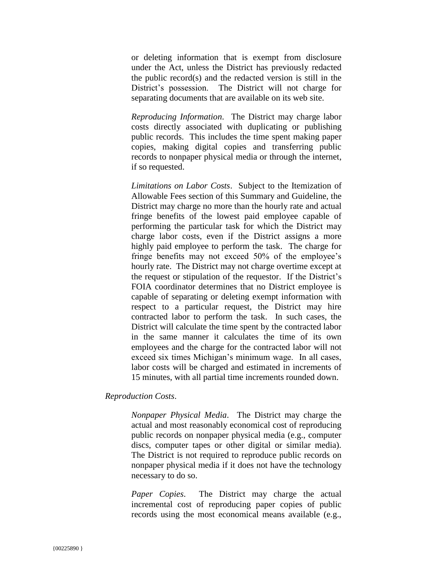or deleting information that is exempt from disclosure under the Act, unless the District has previously redacted the public record(s) and the redacted version is still in the District's possession. The District will not charge for separating documents that are available on its web site.

*Reproducing Information*. The District may charge labor costs directly associated with duplicating or publishing public records. This includes the time spent making paper copies, making digital copies and transferring public records to nonpaper physical media or through the internet, if so requested.

*Limitations on Labor Costs*. Subject to the Itemization of Allowable Fees section of this Summary and Guideline, the District may charge no more than the hourly rate and actual fringe benefits of the lowest paid employee capable of performing the particular task for which the District may charge labor costs, even if the District assigns a more highly paid employee to perform the task. The charge for fringe benefits may not exceed 50% of the employee's hourly rate. The District may not charge overtime except at the request or stipulation of the requestor. If the District's FOIA coordinator determines that no District employee is capable of separating or deleting exempt information with respect to a particular request, the District may hire contracted labor to perform the task. In such cases, the District will calculate the time spent by the contracted labor in the same manner it calculates the time of its own employees and the charge for the contracted labor will not exceed six times Michigan's minimum wage. In all cases, labor costs will be charged and estimated in increments of 15 minutes, with all partial time increments rounded down.

*Reproduction Costs*.

*Nonpaper Physical Media*. The District may charge the actual and most reasonably economical cost of reproducing public records on nonpaper physical media (e.g., computer discs, computer tapes or other digital or similar media). The District is not required to reproduce public records on nonpaper physical media if it does not have the technology necessary to do so.

*Paper Copies*. The District may charge the actual incremental cost of reproducing paper copies of public records using the most economical means available (e.g.,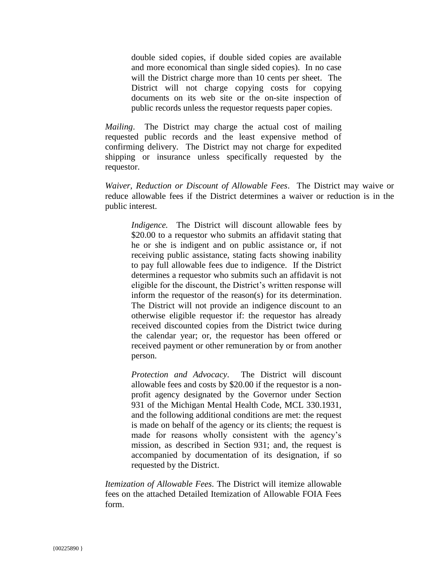double sided copies, if double sided copies are available and more economical than single sided copies). In no case will the District charge more than 10 cents per sheet. The District will not charge copying costs for copying documents on its web site or the on-site inspection of public records unless the requestor requests paper copies.

*Mailing*. The District may charge the actual cost of mailing requested public records and the least expensive method of confirming delivery. The District may not charge for expedited shipping or insurance unless specifically requested by the requestor.

*Waiver, Reduction or Discount of Allowable Fees*. The District may waive or reduce allowable fees if the District determines a waiver or reduction is in the public interest.

*Indigence.* The District will discount allowable fees by \$20.00 to a requestor who submits an affidavit stating that he or she is indigent and on public assistance or, if not receiving public assistance, stating facts showing inability to pay full allowable fees due to indigence. If the District determines a requestor who submits such an affidavit is not eligible for the discount, the District's written response will inform the requestor of the reason(s) for its determination. The District will not provide an indigence discount to an otherwise eligible requestor if: the requestor has already received discounted copies from the District twice during the calendar year; or, the requestor has been offered or received payment or other remuneration by or from another person.

*Protection and Advocacy*. The District will discount allowable fees and costs by \$20.00 if the requestor is a nonprofit agency designated by the Governor under Section 931 of the Michigan Mental Health Code, MCL 330.1931, and the following additional conditions are met: the request is made on behalf of the agency or its clients; the request is made for reasons wholly consistent with the agency's mission, as described in Section 931; and, the request is accompanied by documentation of its designation, if so requested by the District.

*Itemization of Allowable Fees*. The District will itemize allowable fees on the attached Detailed Itemization of Allowable FOIA Fees form.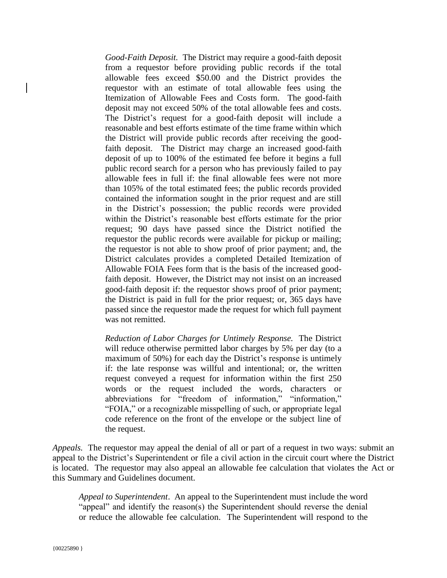*Good-Faith Deposit.* The District may require a good-faith deposit from a requestor before providing public records if the total allowable fees exceed \$50.00 and the District provides the requestor with an estimate of total allowable fees using the Itemization of Allowable Fees and Costs form. The good-faith deposit may not exceed 50% of the total allowable fees and costs. The District's request for a good-faith deposit will include a reasonable and best efforts estimate of the time frame within which the District will provide public records after receiving the goodfaith deposit. The District may charge an increased good-faith deposit of up to 100% of the estimated fee before it begins a full public record search for a person who has previously failed to pay allowable fees in full if: the final allowable fees were not more than 105% of the total estimated fees; the public records provided contained the information sought in the prior request and are still in the District's possession; the public records were provided within the District's reasonable best efforts estimate for the prior request; 90 days have passed since the District notified the requestor the public records were available for pickup or mailing; the requestor is not able to show proof of prior payment; and, the District calculates provides a completed Detailed Itemization of Allowable FOIA Fees form that is the basis of the increased goodfaith deposit. However, the District may not insist on an increased good-faith deposit if: the requestor shows proof of prior payment; the District is paid in full for the prior request; or, 365 days have passed since the requestor made the request for which full payment was not remitted.

*Reduction of Labor Charges for Untimely Response.* The District will reduce otherwise permitted labor charges by 5% per day (to a maximum of 50%) for each day the District's response is untimely if: the late response was willful and intentional; or, the written request conveyed a request for information within the first 250 words or the request included the words, characters or abbreviations for "freedom of information," "information," "FOIA," or a recognizable misspelling of such, or appropriate legal code reference on the front of the envelope or the subject line of the request.

*Appeals.* The requestor may appeal the denial of all or part of a request in two ways: submit an appeal to the District's Superintendent or file a civil action in the circuit court where the District is located. The requestor may also appeal an allowable fee calculation that violates the Act or this Summary and Guidelines document.

*Appeal to Superintendent*. An appeal to the Superintendent must include the word "appeal" and identify the reason(s) the Superintendent should reverse the denial or reduce the allowable fee calculation. The Superintendent will respond to the